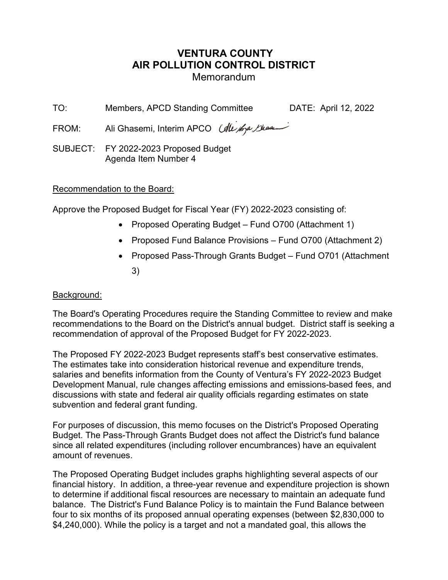# VENTURA COUNTY AIR POLLUTION CONTROL DISTRICT Memorandum

TO: Members, APCD Standing Committee DATE: April 12, 2022

FROM: Ali Ghasemi, Interim APCO (Ale 1670) Shear

SUBJECT: FY 2022-2023 Proposed Budget Agenda Item Number 4

### Recommendation to the Board:

Approve the Proposed Budget for Fiscal Year (FY) 2022-2023 consisting of:

- Proposed Operating Budget Fund O700 (Attachment 1)
- Proposed Fund Balance Provisions Fund O700 (Attachment 2)
- Proposed Pass-Through Grants Budget Fund 0701 (Attachment 3)

#### Background:

The Board's Operating Procedures require the Standing Committee to review and make recommendations to the Board on the District's annual budget. District staff is seeking a recommendation of approval of the Proposed Budget for FY 2022-2023.

The Proposed FY 2022-2023 Budget represents staff's best conservative estimates. The estimates take into consideration historical revenue and expenditure trends, salaries and benefits information from the County of Ventura's FY 2022-2023 Budget Development Manual, rule changes affecting emissions and emissions-based fees, and discussions with state and federal air quality officials regarding estimates on state subvention and federal grant funding.

For purposes of discussion, this memo focuses on the District's Proposed Operating Budget. The Pass-Through Grants Budget does not affect the District's fund balance since all related expenditures (including rollover encumbrances) have an equivalent amount of revenues.

The Proposed Operating Budget includes graphs highlighting several aspects of our financial history. In addition, a three-year revenue and expenditure projection is shown to determine if additional fiscal resources are necessary to maintain an adequate fund balance. The District's Fund Balance Policy is to maintain the Fund Balance between four to six months of its proposed annual operating expenses (between \$2,830,000 to \$4,240,000). While the policy is a target and not a mandated goal, this allows the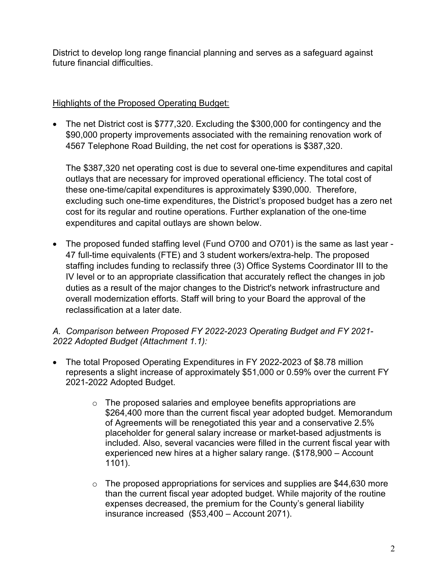District to develop long range financial planning and serves as a safeguard against future financial difficulties.

### Highlights of the Proposed Operating Budget:

• The net District cost is \$777,320. Excluding the \$300,000 for contingency and the \$90,000 property improvements associated with the remaining renovation work of 4567 Telephone Road Building, the net cost for operations is \$387,320.

The \$387,320 net operating cost is due to several one-time expenditures and capital outlays that are necessary for improved operational efficiency. The total cost of these one-time/capital expenditures is approximately \$390,000. Therefore, excluding such one-time expenditures, the District's proposed budget has a zero net cost for its regular and routine operations. Further explanation of the one-time expenditures and capital outlays are shown below.

 The proposed funded staffing level (Fund O700 and O701) is the same as last year - 47 full-time equivalents (FTE) and 3 student workers/extra-help. The proposed staffing includes funding to reclassify three (3) Office Systems Coordinator III to the IV level or to an appropriate classification that accurately reflect the changes in job duties as a result of the major changes to the District's network infrastructure and overall modernization efforts. Staff will bring to your Board the approval of the reclassification at a later date.

### A. Comparison between Proposed FY 2022-2023 Operating Budget and FY 2021- 2022 Adopted Budget (Attachment 1.1):

- The total Proposed Operating Expenditures in FY 2022-2023 of \$8.78 million represents a slight increase of approximately \$51,000 or 0.59% over the current FY 2021-2022 Adopted Budget.
	- $\circ$  The proposed salaries and employee benefits appropriations are \$264,400 more than the current fiscal year adopted budget. Memorandum of Agreements will be renegotiated this year and a conservative 2.5% placeholder for general salary increase or market-based adjustments is included. Also, several vacancies were filled in the current fiscal year with experienced new hires at a higher salary range. (\$178,900 – Account 1101).
	- $\circ$  The proposed appropriations for services and supplies are \$44,630 more than the current fiscal year adopted budget. While majority of the routine expenses decreased, the premium for the County's general liability insurance increased (\$53,400 – Account 2071).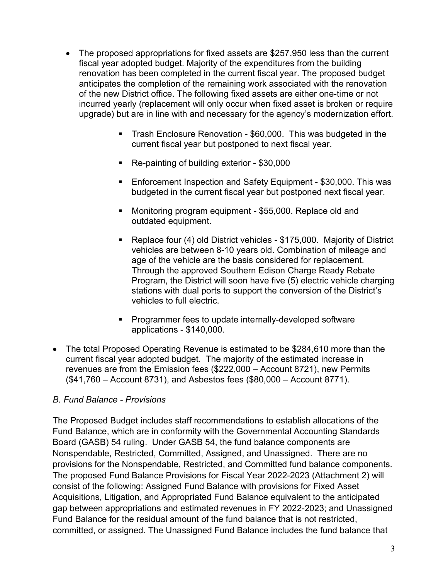- The proposed appropriations for fixed assets are \$257,950 less than the current fiscal year adopted budget. Majority of the expenditures from the building renovation has been completed in the current fiscal year. The proposed budget anticipates the completion of the remaining work associated with the renovation of the new District office. The following fixed assets are either one-time or not incurred yearly (replacement will only occur when fixed asset is broken or require upgrade) but are in line with and necessary for the agency's modernization effort.
	- Trash Enclosure Renovation \$60,000. This was budgeted in the current fiscal year but postponed to next fiscal year.
	- Re-painting of building exterior \$30,000
	- **Enforcement Inspection and Safety Equipment \$30,000. This was** budgeted in the current fiscal year but postponed next fiscal year.
	- **Monitoring program equipment \$55,000. Replace old and** outdated equipment.
	- Replace four (4) old District vehicles \$175,000. Majority of District vehicles are between 8-10 years old. Combination of mileage and age of the vehicle are the basis considered for replacement. Through the approved Southern Edison Charge Ready Rebate Program, the District will soon have five (5) electric vehicle charging stations with dual ports to support the conversion of the District's vehicles to full electric.
	- **Programmer fees to update internally-developed software** applications - \$140,000.
- The total Proposed Operating Revenue is estimated to be \$284,610 more than the current fiscal year adopted budget. The majority of the estimated increase in revenues are from the Emission fees (\$222,000 – Account 8721), new Permits (\$41,760 – Account 8731), and Asbestos fees (\$80,000 – Account 8771).

### B. Fund Balance - Provisions

The Proposed Budget includes staff recommendations to establish allocations of the Fund Balance, which are in conformity with the Governmental Accounting Standards Board (GASB) 54 ruling. Under GASB 54, the fund balance components are Nonspendable, Restricted, Committed, Assigned, and Unassigned. There are no provisions for the Nonspendable, Restricted, and Committed fund balance components. The proposed Fund Balance Provisions for Fiscal Year 2022-2023 (Attachment 2) will consist of the following: Assigned Fund Balance with provisions for Fixed Asset Acquisitions, Litigation, and Appropriated Fund Balance equivalent to the anticipated gap between appropriations and estimated revenues in FY 2022-2023; and Unassigned Fund Balance for the residual amount of the fund balance that is not restricted, committed, or assigned. The Unassigned Fund Balance includes the fund balance that